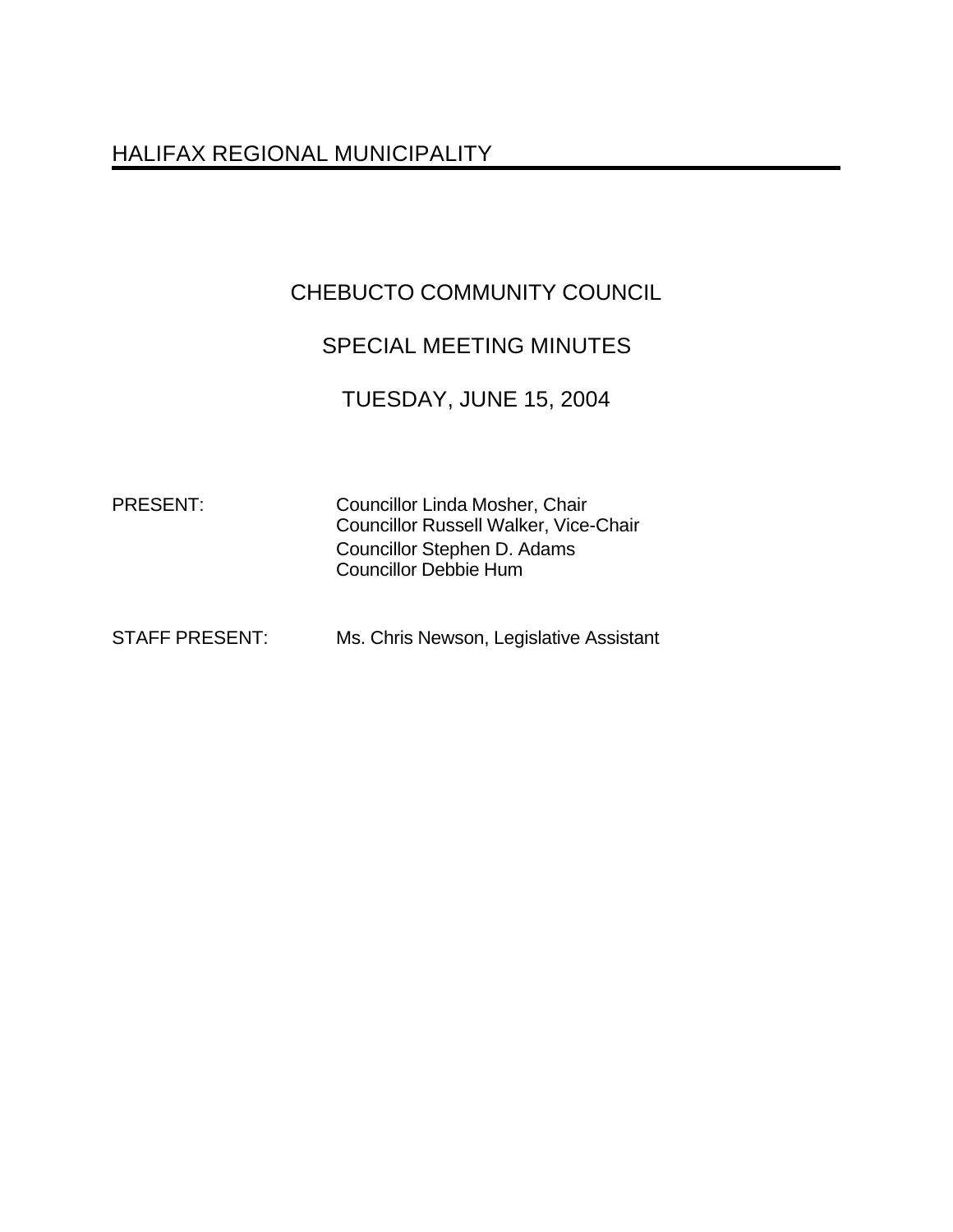# HALIFAX REGIONAL MUNICIPALITY

# CHEBUCTO COMMUNITY COUNCIL

# SPECIAL MEETING MINUTES

### TUESDAY, JUNE 15, 2004

PRESENT: Councillor Linda Mosher, Chair Councillor Russell Walker, Vice-Chair Councillor Stephen D. Adams Councillor Debbie Hum

| <b>STAFF PRESENT:</b> | Ms. Chris Newson, Legislative Assistant |
|-----------------------|-----------------------------------------|
|                       |                                         |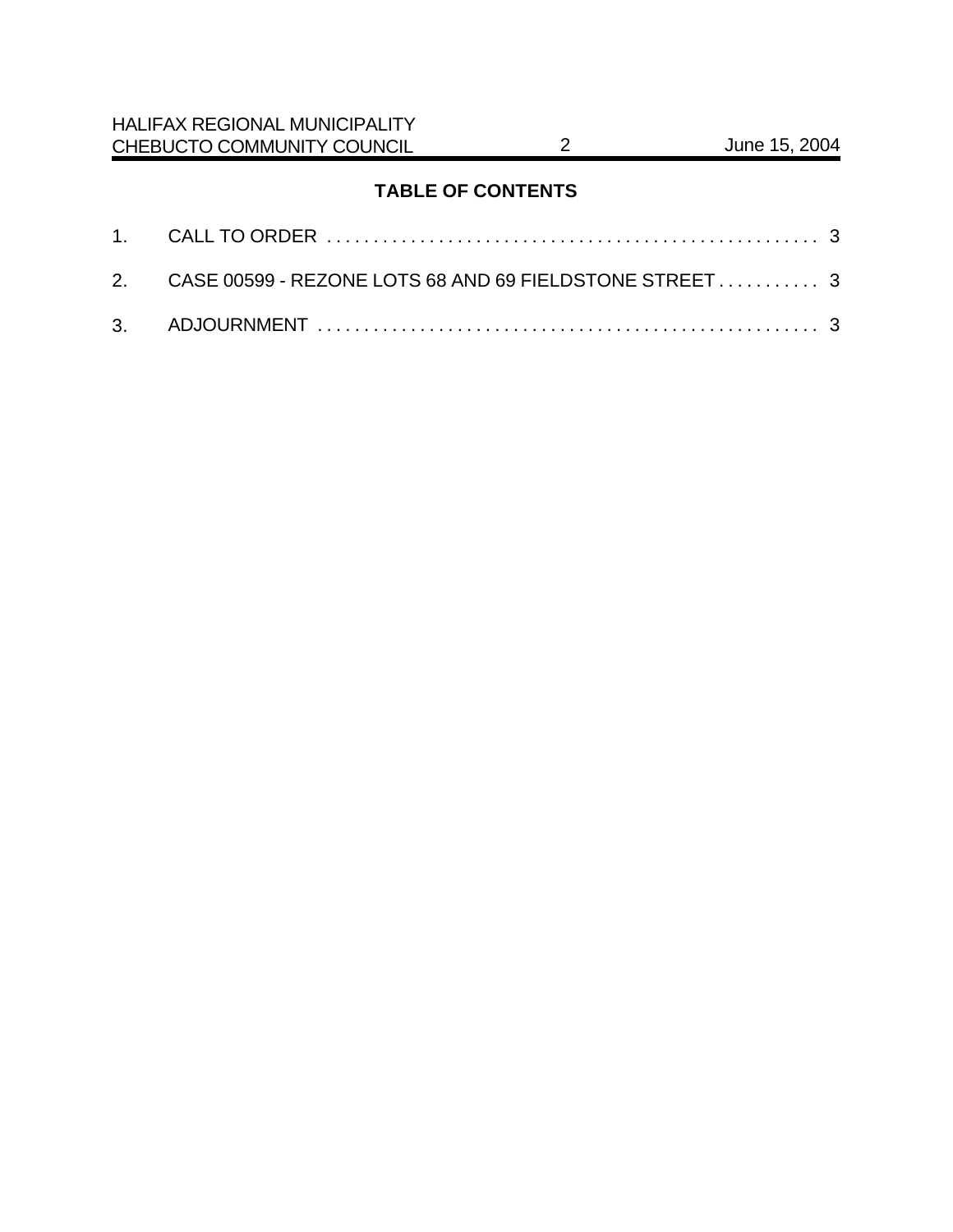### **TABLE OF CONTENTS**

| 2. CASE 00599 - REZONE LOTS 68 AND 69 FIELDSTONE STREET 3 |  |
|-----------------------------------------------------------|--|
|                                                           |  |